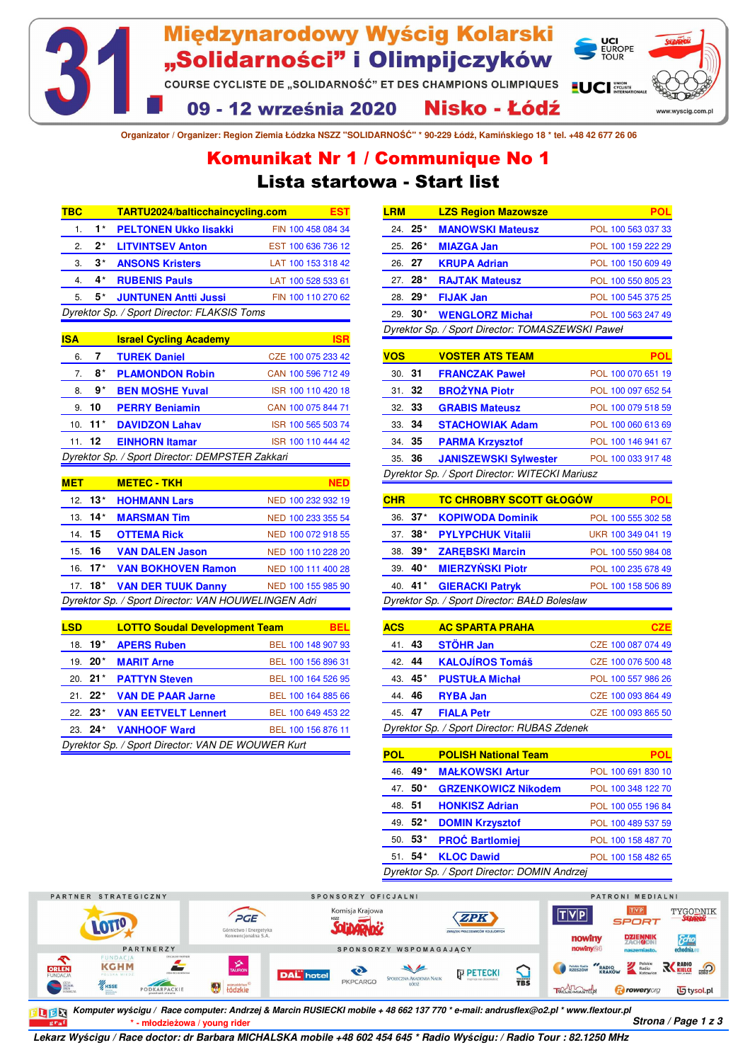

**Organizator / Organizer: Region Ziemia Łódzka NSZZ "SOLIDARNOŚĆ" \* 90-229 Łódź, Kamińskiego 18 \* tel. +48 42 677 26 06**

## Lista startowa - Start list Komunikat Nr 1 / Communique No 1

| твс |       | TARTU2024/balticchaincycling.com            |                    |
|-----|-------|---------------------------------------------|--------------------|
| 1.  | $1^*$ | <b>PELTONEN Ukko lisakki</b>                | FIN 100 458 084 34 |
| 2.  | $2^*$ | <b>LITVINTSEV Anton</b>                     | EST 100 636 736 12 |
| З.  | $3^*$ | <b>ANSONS Kristers</b>                      | LAT 100 153 318 42 |
|     | 4*    | <b>RUBENIS Pauls</b>                        | LAT 100 528 533 61 |
| 5.  | 5*    | <b>JUNTUNEN Antti Jussi</b>                 | FIN 100 110 270 62 |
|     |       | Dyrektor Sp. / Sport Director: FLAKSIS Toms |                    |

| <b>ISA</b>                                      |           | <b>Israel Cycling Academy</b> | ISR                |
|-------------------------------------------------|-----------|-------------------------------|--------------------|
| 6.                                              | 7         | <b>TUREK Daniel</b>           | CZE 100 075 233 42 |
| 7.                                              | 8*        | <b>PLAMONDON Robin</b>        | CAN 100 596 712 49 |
| 8.                                              | 9*        | <b>BEN MOSHE Yuval</b>        | ISR 100 110 420 18 |
|                                                 | 9.10      | <b>PERRY Benjamin</b>         | CAN 100 075 844 71 |
|                                                 | 10. $11*$ | <b>DAVIDZON Lahav</b>         | ISR 100 565 503 74 |
|                                                 | 11.12     | <b>EINHORN Itamar</b>         | ISR 100 110 444 42 |
| Dyrektor Sp. / Sport Director: DEMPSTER Zakkari |           |                               |                    |

| <b>MET</b> |                   | <b>METEC - TKH</b>                                  | NFD                |
|------------|-------------------|-----------------------------------------------------|--------------------|
|            | 12. <b>13</b> $*$ | <b>HOHMANN Lars</b>                                 | NED 100 232 932 19 |
|            | $13.14*$          | <b>MARSMAN Tim</b>                                  | NED 100 233 355 54 |
| 14. 15     |                   | <b>OTTEMA Rick</b>                                  | NED 100 072 918 55 |
| 15. 16     |                   | <b>VAN DALEN Jason</b>                              | NED 100 110 228 20 |
|            |                   | 16. 17* VAN BOKHOVEN Ramon                          | NED 100 111 400 28 |
|            |                   | 17. 18* VAN DER TUUK Danny                          | NED 100 155 985 90 |
|            |                   | Dyrektor Sp. / Sport Director: VAN HOUWELINGEN Adri |                    |

| <b>LSD</b>                                        |             | <b>LOTTO Soudal Development Team</b> |  |                    | BEL |
|---------------------------------------------------|-------------|--------------------------------------|--|--------------------|-----|
|                                                   | 18. 19*     | <b>APERS Ruben</b>                   |  | BEL 100 148 907 93 |     |
|                                                   | 19. $20*$   | <b>MARIT Arne</b>                    |  | BEL 100 156 896 31 |     |
|                                                   | $20.21*$    | <b>PATTYN Steven</b>                 |  | BEL 100 164 526 95 |     |
|                                                   | $21 \t22^*$ | <b>VAN DE PAAR Jarne</b>             |  | BEL 100 164 885 66 |     |
|                                                   | $22 \t23*$  | <b>VAN EETVELT Lennert</b>           |  | BEL 100 649 453 22 |     |
|                                                   | $23.24*$    | <b>VANHOOF Ward</b>                  |  | BEL 100 156 876 11 |     |
| Dyrektor Sp. / Sport Director: VAN DE WOUWER Kurt |             |                                      |  |                    |     |

|                                                  | <b>LZS Region Mazowsze</b> |                    |  |  |
|--------------------------------------------------|----------------------------|--------------------|--|--|
| $24.25*$                                         | <b>MANOWSKI Mateusz</b>    | POL 100 563 037 33 |  |  |
| $25.26*$                                         | <b>MIAZGA Jan</b>          | POL 100 159 222 29 |  |  |
| 26 27                                            | <b>KRUPA Adrian</b>        | POL 100 150 609 49 |  |  |
| 27. 28*                                          | <b>RAJTAK Mateusz</b>      | POL 100 550 805 23 |  |  |
| 28. 29*                                          | <b>FIJAK Jan</b>           | POL 100 545 375 25 |  |  |
| $29.30*$                                         | <b>WENGLORZ Michał</b>     | POL 100 563 247 49 |  |  |
| Dyrektor Sp. / Sport Director: TOMASZEWSKI Paweł |                            |                    |  |  |
|                                                  |                            |                    |  |  |

| <b>VOS</b>                                     |        | <b>VOSTER ATS TEAM</b>       | POL                |  |
|------------------------------------------------|--------|------------------------------|--------------------|--|
| 30.31                                          |        | <b>FRANCZAK Paweł</b>        | POL 100 070 651 19 |  |
|                                                | 31.32  | <b>BROŻYNA Piotr</b>         | POL 100 097 652 54 |  |
| 32.33                                          |        | <b>GRABIS Mateusz</b>        | POL 100 079 518 59 |  |
|                                                | 33. 34 | <b>STACHOWIAK Adam</b>       | POL 100 060 613 69 |  |
|                                                | 34 35  | <b>PARMA Krzysztof</b>       | POL 100 146 941 67 |  |
|                                                | 35. 36 | <b>JANISZEWSKI Sylwester</b> | POL 100 033 917 48 |  |
| Dyrektor Sp. / Sport Director: WITECKI Mariusz |        |                              |                    |  |

| <b>CHR</b> |           | <b>TC CHROBRY SCOTT GŁOGÓW</b>               |                    | POL |
|------------|-----------|----------------------------------------------|--------------------|-----|
|            | $36.37*$  | <b>KOPIWODA Dominik</b>                      | POL 100 555 302 58 |     |
|            | $37.38*$  | <b>PYLYPCHUK Vitalii</b>                     | UKR 100 349 041 19 |     |
|            | $38.39*$  | <b>ZAREBSKI Marcin</b>                       | POL 100 550 984 08 |     |
|            | $39.40*$  | <b>MIERZYŃSKI Piotr</b>                      | POL 100 235 678 49 |     |
|            | 40. $41*$ | <b>GIERACKI Patryk</b>                       | POL 100 158 506 89 |     |
|            |           | Dyrektor Sp. / Sport Director: BAŁD Bolesław |                    |     |

| <b>ACS</b> |           | <b>AC SPARTA PRAHA</b>                      | CZE                |
|------------|-----------|---------------------------------------------|--------------------|
| 41.        | 43        | <b>STÖHR Jan</b>                            | CZE 100 087 074 49 |
| 42. 44     |           | <b>KALOJÍROS Tomáš</b>                      | CZE 100 076 500 48 |
|            | 43. $45*$ | <b>PUSTUŁA Michał</b>                       | POL 100 557 986 26 |
| 44.46      |           | <b>RYBA Jan</b>                             | CZE 100 093 864 49 |
| 45. 47     |           | <b>FIALA Petr</b>                           | CZE 100 093 865 50 |
|            |           | Dyrektor Sp. / Sport Director: RUBAS Zdenek |                    |
|            |           |                                             |                    |
|            |           |                                             |                    |

| POL   |          | <b>POLISH National Team</b>                  | POL                |
|-------|----------|----------------------------------------------|--------------------|
| 46.   | 49*      | <b>MAŁKOWSKI Artur</b>                       | POL 100 691 830 10 |
|       | 47. 50*  | <b>GRZENKOWICZ Nikodem</b>                   | POL 100 348 122 70 |
| 48.51 |          | <b>HONKISZ Adrian</b>                        | POL 100 055 196 84 |
|       | 49. 52*  | <b>DOMIN Krzysztof</b>                       | POL 100 489 537 59 |
|       | $50.53*$ | <b>PROĆ Bartlomiej</b>                       | POL 100 158 487 70 |
|       | $51.54*$ | <b>KLOC Dawid</b>                            | POL 100 158 482 65 |
|       |          | Dyrektor Sp. / Sport Director: DOMIN Andrzej |                    |

PARTNER STRATEGICZNY SPONSORZY OFICJALNI PATRONI MEDIALNI Komisja Krajowa  $[T|V|P]$ TYGODNIK  $T|V|P|$ PGE ZPK **LOTIO** SPORT Solibagyhä Górnictwo i Energetyka<br>Konwencionalna S.A. nowiny **DZIENNIK**  $\delta$ SPONSORZY WSPOMAGAJĄCY **PARTNERZY KGHM** Ź Polskie RADIO RADIO RADIO READER RADIO RESERVED READER ORLEN  $\sum_{\text{TBS}}$  $\bullet$ P PETECKI **DAL** hotel SPOŁECZNA AKADEMIA NAUK PKPCARGO KKSSE tódzkie TWOJE-MIASTOP PODKARPACKI **Brow 巧**tysol.pl

**\* - młodzieżowa / young rider Strona / Page 1 z 3 Komputer wyścigu / Race computer: Andrzej & Marcin RUSIECKI mobile + 48 662 137 770 \* e-mail: andrusflex@o2.pl \* www.flextour.pl** 

**Lekarz Wy***ś***cigu / Race doctor: dr Barbara MICHALSKA mobile +48 602 454 645 \* Radio Wy***ś***cigu: / Radio Tour : 82.1250 MHz**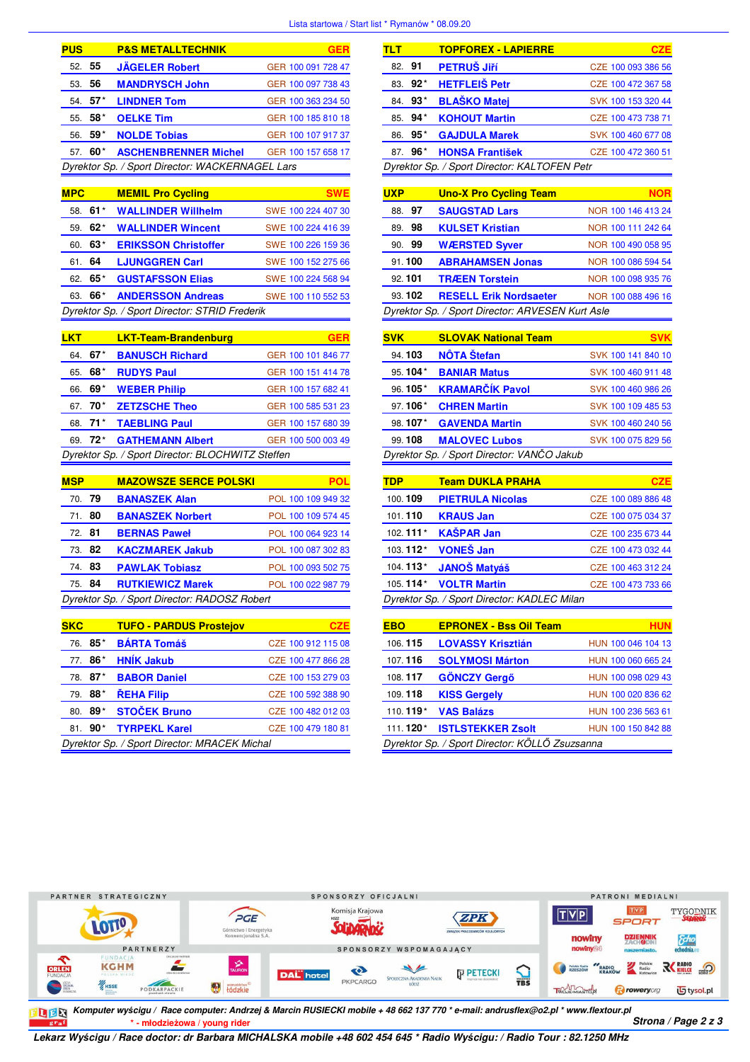## Lista startowa / Start list \* Rymanów \* 08.09.20

| <b>PUS</b> |         | <b>P&amp;S METALLTECHNIK</b>                    | GFR                |
|------------|---------|-------------------------------------------------|--------------------|
| 52. 55     |         | <b>JÄGELER Robert</b>                           | GER 100 091 728 47 |
| 53.        | -56     | <b>MANDRYSCH John</b>                           | GER 100 097 738 43 |
|            | 54. 57* | <b>LINDNER Tom</b>                              | GER 100 363 234 50 |
|            | 55. 58* | <b>OELKE Tim</b>                                | GER 100 185 810 18 |
|            | 56. 59* | <b>NOLDE Tobias</b>                             | GER 100 107 917 37 |
| 57         | 60*     | <b>ASCHENBRENNER Michel</b>                     | GER 100 157 658 17 |
|            |         | Dyrektor Sp. / Sport Director: WACKERNAGEL Lars |                    |

| <b>MPC</b> |       | <b>MEMIL Pro Cycling</b>                      |                    |
|------------|-------|-----------------------------------------------|--------------------|
| 58.        | $61*$ | <b>WALLINDER Willhelm</b>                     | SWE 100 224 407 30 |
| 59.        | $62*$ | <b>WALLINDER Wincent</b>                      | SWE 100 224 416 39 |
| 60.        | 63*   | <b>ERIKSSON Christoffer</b>                   | SWE 100 226 159 36 |
| 61.        | 64    | <b>LJUNGGREN Carl</b>                         | SWE 100 152 275 66 |
| 62.        | 65*   | <b>GUSTAFSSON Elias</b>                       | SWE 100 224 568 94 |
| 63.        | 66*   | <b>ANDERSSON Andreas</b>                      | SWE 100 110 552 53 |
|            |       | Dyrektor Sp. / Sport Director: STRID Frederik |                    |

| <b>LKT</b> |                     | <b>LKT-Team-Brandenburg</b>                      |                    |
|------------|---------------------|--------------------------------------------------|--------------------|
|            | 64. 67*             | <b>BANUSCH Richard</b>                           | GER 100 101 846 77 |
| 65.        | 68*                 | <b>RUDYS Paul</b>                                | GER 100 151 414 78 |
| 66.        | 69*                 | <b>WEBER Philip</b>                              | GER 100 157 682 41 |
|            | 67. 70 <sup>*</sup> | <b>ZETZSCHE Theo</b>                             | GER 100 585 531 23 |
|            |                     | 68. 71 <sup>*</sup> TAEBLING Paul                | GER 100 157 680 39 |
|            |                     | 69. 72* GATHEMANN Albert                         | GER 100 500 003 49 |
|            |                     | Dyrektor Sp. / Sport Director: BLOCHWITZ Steffen |                    |

| <b>MSP</b> | <b>MAZOWSZE SERCE POLSKI</b>                 |                    |
|------------|----------------------------------------------|--------------------|
| 70. 79     | <b>BANASZEK Alan</b>                         | POL 100 109 949 32 |
| 71. 80     | <b>BANASZEK Norbert</b>                      | POL 100 109 574 45 |
| 72. 81     | <b>BERNAS Pawel</b>                          | POL 100 064 923 14 |
| 73. 82     | <b>KACZMAREK Jakub</b>                       | POL 100 087 302 83 |
| 74.83      | <b>PAWLAK Tobiasz</b>                        | POL 100 093 502 75 |
| 75. 84     | <b>RUTKIEWICZ Marek</b>                      | POL 100 022 987 79 |
|            | Dyrektor Sp. / Sport Director: RADOSZ Robert |                    |

| <b>SKC</b> |          | <b>TUFO - PARDUS Prostejov</b>               |                    |
|------------|----------|----------------------------------------------|--------------------|
|            | 76. 85*  | <b>BÁRTA Tomáš</b>                           | CZE 100 912 115 08 |
|            | 77. 86*  | <b>HNÍK Jakub</b>                            | CZE 100 477 866 28 |
|            | 78. 87*  | <b>BABOR Daniel</b>                          | CZE 100 153 279 03 |
|            | 79. 88*  | ŘEHA Filip                                   | CZE 100 592 388 90 |
|            | $80.89*$ | <b>STOČEK Bruno</b>                          | CZE 100 482 012 03 |
|            |          | 81. 90* TYRPEKL Karel                        | CZE 100 479 180 81 |
|            |          | Dyrektor Sp. / Sport Director: MRACEK Michal |                    |

| TLT                                          |          | <b>TOPFOREX - LAPIERRE</b> | <b>CZE</b>         |
|----------------------------------------------|----------|----------------------------|--------------------|
| 82. 91                                       |          | PETRUŠ JIří                | CZE 100 093 386 56 |
|                                              | 83. 92*  | <b>HETFLEIŠ Petr</b>       | CZE 100 472 367 58 |
|                                              | 84. 93*  | <b>BLAŠKO Matei</b>        | SVK 100 153 320 44 |
|                                              | $85.94*$ | <b>KOHOUT Martin</b>       | CZE 100 473 738 71 |
|                                              | $86.95*$ | <b>GAJDULA Marek</b>       | SVK 100 460 677 08 |
|                                              | 87. 96*  | <b>HONSA František</b>     | CZE 100 472 360 51 |
| Dyrektor Sp. / Sport Director: KALTOFEN Petr |          |                            |                    |

| <b>UXP</b>                                       | <b>Uno-X Pro Cycling Team</b> |                    |
|--------------------------------------------------|-------------------------------|--------------------|
| 97<br>88.                                        | <b>SAUGSTAD Lars</b>          | NOR 100 146 413 24 |
| 98<br>89.                                        | <b>KULSET Kristian</b>        | NOR 100 111 242 64 |
| 90. 99                                           | <b>WÆRSTED Syver</b>          | NOR 100 490 058 95 |
| 91.100                                           | <b>ABRAHAMSEN Jonas</b>       | NOR 100 086 594 54 |
| 92.101                                           | <b>TRÆEN Torstein</b>         | NOR 100 098 935 76 |
| 93.102                                           | <b>RESELL Erik Nordsaeter</b> | NOR 100 088 496 16 |
| Dyrektor Sp. / Sport Director: ARVESEN Kurt Asle |                               |                    |

| <b>SVK</b> | <b>SLOVAK National Team</b>               |                    |
|------------|-------------------------------------------|--------------------|
| 94.103     | <b>NÔTA</b> Štefan                        | SVK 100 141 840 10 |
| 95.104*    | <b>BANIAR Matus</b>                       | SVK 100 460 911 48 |
| 96.105*    | <b>KRAMARČÍK Pavol</b>                    | SVK 100 460 986 26 |
| 97.106*    | <b>CHREN Martin</b>                       | SVK 100 109 485 53 |
| 98.107*    | <b>GAVENDA Martin</b>                     | SVK 100 460 240 56 |
| 99.108     | <b>MALOVEC Lubos</b>                      | SVK 100 075 829 56 |
|            | Dyrektor Sn / Sport Director: VANČO Jakub |                    |

Dyrektor Sp. / Sport Director: VAN*Č*O Jakub

| TDP      | <b>Team DUKLA PRAHA</b>                     | <b>CZE</b>         |
|----------|---------------------------------------------|--------------------|
| 100.109  | <b>PIETRULA Nicolas</b>                     | CZE 100 089 886 48 |
| 101.110  | <b>KRAUS Jan</b>                            | CZE 100 075 034 37 |
| 102.111* | <b>KAŠPAR Jan</b>                           | CZE 100 235 673 44 |
| 103.112* | <b>VONEŠ Jan</b>                            | CZE 100 473 032 44 |
| 104.113* | <b>JANOŠ Matyáš</b>                         | CZE 100 463 312 24 |
| 105.114* | <b>VOLTR Martin</b>                         | CZE 100 473 733 66 |
|          | Dyrektor Sp. / Sport Director: KADLEC Milan |                    |

| <b>EBO</b>                                     | <b>EPRONEX - Bss Oil Team</b> | HUN                |
|------------------------------------------------|-------------------------------|--------------------|
| 106.115                                        | <b>LOVASSY Krisztián</b>      | HUN 100 046 104 13 |
| 107.116                                        | <b>SOLYMOSI Márton</b>        | HUN 100 060 665 24 |
| 108.117                                        | <b>GÖNCZY Gergő</b>           | HUN 100 098 029 43 |
| 109.118                                        | <b>KISS Gergely</b>           | HUN 100 020 836 62 |
| 110.119*                                       | <b>VAS Balázs</b>             | HUN 100 236 563 61 |
| 111.120*                                       | <b>ISTLSTEKKER Zsolt</b>      | HUN 100 150 842 88 |
| Dyrektor Sp. / Sport Director: KÖLLŐ Zsuzsanna |                               |                    |



**\* - młodzieżowa / young rider Strona / Page 2 z 3 Komputer wy***ś***cigu / Race computer: Andrzej & Marcin RUSIECKI mobile + 48 662 137 770 \* e-mail: andrusflex@o2.pl \* www.flextour.pl**

**Lekarz Wy***ś***cigu / Race doctor: dr Barbara MICHALSKA mobile +48 602 454 645 \* Radio Wy***ś***cigu: / Radio Tour : 82.1250 MHz**